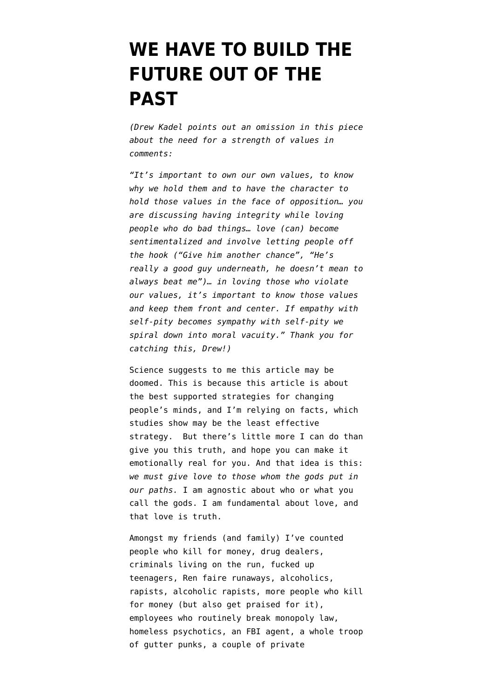## **[WE HAVE TO BUILD THE](https://www.emptywheel.net/2018/02/26/we-have-to-build-the-future-out-of-the-past/) [FUTURE OUT OF THE](https://www.emptywheel.net/2018/02/26/we-have-to-build-the-future-out-of-the-past/) [PAST](https://www.emptywheel.net/2018/02/26/we-have-to-build-the-future-out-of-the-past/)**

*(Drew Kadel points out an omission in this piece about the need for a strength of values in comments:* 

*"It's important to own our own values, to know why we hold them and to have the character to hold those values in the face of opposition… you are discussing having integrity while loving people who do bad things… love (can) become sentimentalized and involve letting people off the hook ("Give him another chance", "He's really a good guy underneath, he doesn't mean to always beat me")… in loving those who violate our values, it's important to know those values and keep them front and center. If empathy with self-pity becomes sympathy with self-pity we spiral down into moral vacuity." Thank you for catching this, Drew!)*

Science suggests to me this article may be doomed. This is because this article is about the best supported strategies for changing people's minds, and I'm relying on facts, [which](https://www.newyorker.com/magazine/2017/02/27/why-facts-dont-change-our-minds) [studies show may be the least effective](https://www.newyorker.com/magazine/2017/02/27/why-facts-dont-change-our-minds) [strategy.](https://www.newyorker.com/magazine/2017/02/27/why-facts-dont-change-our-minds) But there's little more I can do than give you this truth, and hope you can make it emotionally real for you. And that idea is this: *we must give love to those whom the gods put in our paths.* I am agnostic about who or what you call the gods. I am fundamental about love, and that love is truth.

Amongst my friends (and family) I've counted people who kill for money, drug dealers, criminals living on the run, fucked up teenagers, Ren faire runaways, alcoholics, rapists, alcoholic rapists, more people who kill for money (but also get praised for it), employees who routinely break monopoly law, homeless psychotics, an FBI agent, a whole troop of gutter punks, a couple of private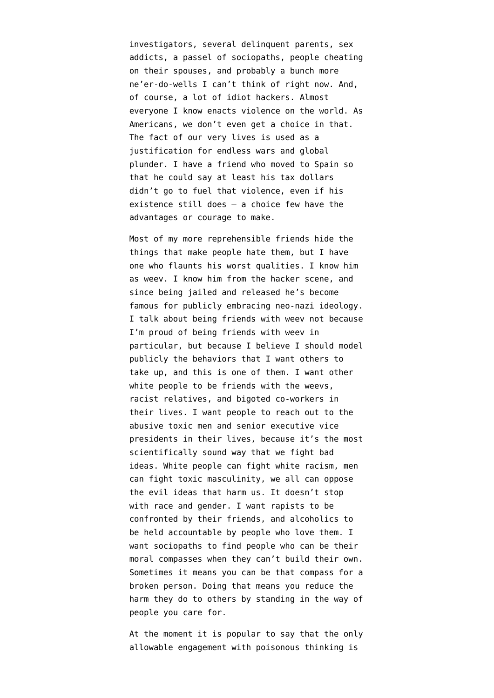investigators, several delinquent parents, sex addicts, a passel of sociopaths, people cheating on their spouses, and probably a bunch more ne'er-do-wells I can't think of right now. And, of course, a lot of idiot hackers. Almost everyone I know enacts violence on the world. As Americans, we don't even get a choice in that. The fact of our very lives is used as a justification for endless wars and global plunder. I have a friend who moved to Spain so that he could say at least his tax dollars didn't go to fuel that violence, even if his existence still does — a choice few have the advantages or courage to make.

Most of my more reprehensible friends hide the things that make people hate them, but I have one who flaunts his worst qualities. I know him as weev. I know him from the hacker scene, and since being jailed and released he's become famous for publicly embracing neo-nazi ideology. I talk about being friends with weev not because I'm proud of being friends with weev in particular, but because I believe I should model publicly the behaviors that I want others to take up, and this is one of them. I want other white people to be friends with the weevs, racist relatives, and bigoted co-workers in their lives. I want people to reach out to the abusive toxic men and senior executive vice presidents in their lives, because it's the most scientifically sound way that we fight bad ideas. [White people can fight white racism](https://medium.com/message/whiteness-3ead03700322), [men](https://thoughtcatalog.com/zaron-burnett-iii/2013/03/what-are-men-good-for/) [can fight toxic masculinity](https://thoughtcatalog.com/zaron-burnett-iii/2013/03/what-are-men-good-for/), we all can oppose the evil ideas that harm us. It doesn't stop with race and gender. I want rapists to be confronted by their friends, and alcoholics to be held accountable by people who love them. I want sociopaths to find people who can be their moral compasses when they can't build their own. Sometimes it means you can be that compass for a broken person. Doing that means you reduce the harm they do to others by standing in the way of people you care for.

At the moment it is popular to say that the only allowable engagement with poisonous thinking is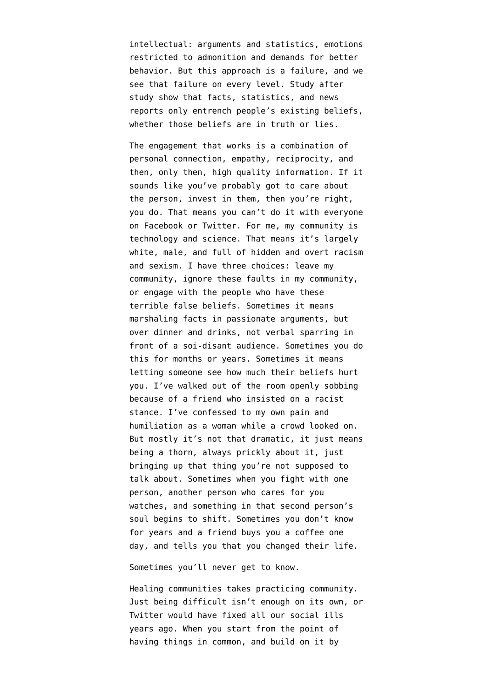intellectual: arguments and statistics, emotions restricted to admonition and demands for better behavior. But this approach is a failure, and we see that failure on every level. Study after study show [that facts, statistics, and news](https://www.npr.org/2017/03/13/519661419/when-it-comes-to-politics-and-fake-news-facts-arent-enough) [reports only entrench people's existing beliefs,](https://www.npr.org/2017/03/13/519661419/when-it-comes-to-politics-and-fake-news-facts-arent-enough) whether those beliefs are in truth or lies.

The engagement that works is a combination of personal connection, empathy, reciprocity, and then, only then, high quality information. If it sounds like you've probably got to care about the person, invest in them, then you're right, you do. That means you can't do it with everyone on Facebook or Twitter. For me, my community is technology and science. That means it's largely white, male, and full of hidden and overt racism and sexism. I have three choices: leave my community, ignore these faults in my community, or [engage with the people who have these](https://medium.com/@rafi0t/on-trying-to-be-better-men-227d2aad6670) [terrible false beliefs](https://medium.com/@rafi0t/on-trying-to-be-better-men-227d2aad6670). Sometimes it means marshaling facts in passionate arguments, but over dinner and drinks, not verbal sparring in front of a soi-disant audience. Sometimes you do this for months or years. Sometimes it means letting someone see how much their beliefs hurt you. I've walked out of the room openly sobbing because of a friend who insisted on a racist stance. I've confessed to my own pain and humiliation as a woman while a crowd looked on. But mostly it's not that dramatic, it just means being a thorn, always prickly about it, just bringing up that thing you're not supposed to talk about. Sometimes when you fight with one person, another person who cares for you watches, and something in that second person's soul begins to shift. Sometimes you don't know for years and a friend buys you a coffee one day, and tells you that you changed their life.

Sometimes you'll never get to know.

Healing communities takes practicing community. Just being difficult isn't enough on its own, or Twitter would have fixed all our social ills years ago. When you start from the point of having things in common, and build on it by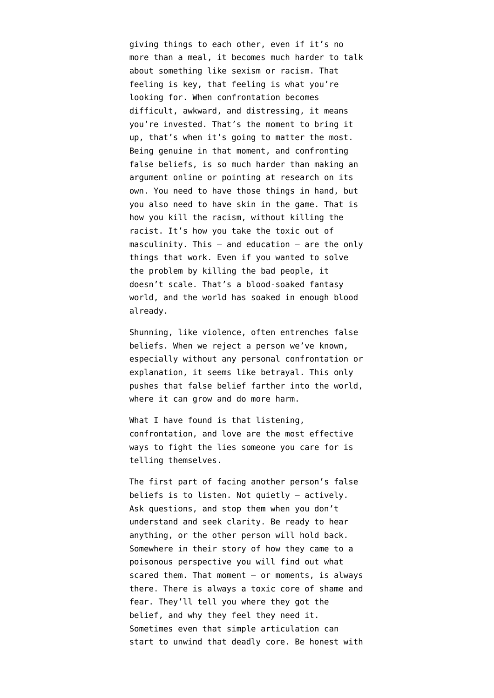giving things to each other, even if it's no more than a meal, it becomes much harder to talk about something like sexism or racism. That feeling is key, that feeling is what you're looking for. When confrontation becomes difficult, awkward, and distressing, it means you're invested. That's the moment to bring it up, that's when it's going to matter the most. Being genuine in that moment, and confronting false beliefs, is so much harder than making an argument online or pointing at research on its own. You need to have those things in hand, but you also need to have skin in the game. That is how you kill the racism, without killing the racist. It's [how you take the toxic out of](https://medium.com/human-parts/a-gentlemens-guide-to-rape-culture-7fc86c50dc4c) [masculinity](https://medium.com/human-parts/a-gentlemens-guide-to-rape-culture-7fc86c50dc4c). This — and education — are the only things that work. Even if you wanted to solve the problem by killing the bad people, it doesn't scale. That's a blood-soaked fantasy world, and the world has soaked in enough blood already.

[Shunning, like violence, often entrenches false](https://medium.com/@quinnnorton/the-problem-with-white-shunning-56b67cc2d726) [beliefs.](https://medium.com/@quinnnorton/the-problem-with-white-shunning-56b67cc2d726) When we reject a person we've known, especially without any personal confrontation or explanation, it seems like betrayal. This only pushes that false belief farther into the world, where it can grow and do more harm.

What I have found is that listening, confrontation, and love are the most effective ways to fight the lies someone you care for is telling themselves.

The first part of facing another person's false beliefs is to listen. [Not quietly — actively](https://www.youtube.com/watch?v=-BdbiZcNBXg). Ask questions, and stop them when you don't understand and seek clarity. Be ready to hear anything, or the other person will hold back. Somewhere in their story of how they came to a poisonous perspective you will find out what scared them. That moment — or moments, is always there. [There is always a toxic core of shame and](https://www.splcenter.org/fighting-hate/intelligence-report/2015/ex-skinhead-recalls-violent-past) [fear](https://www.splcenter.org/fighting-hate/intelligence-report/2015/ex-skinhead-recalls-violent-past). They'll tell you where they got the belief, and why they feel they need it. Sometimes even that simple articulation can start to unwind that deadly core. Be honest with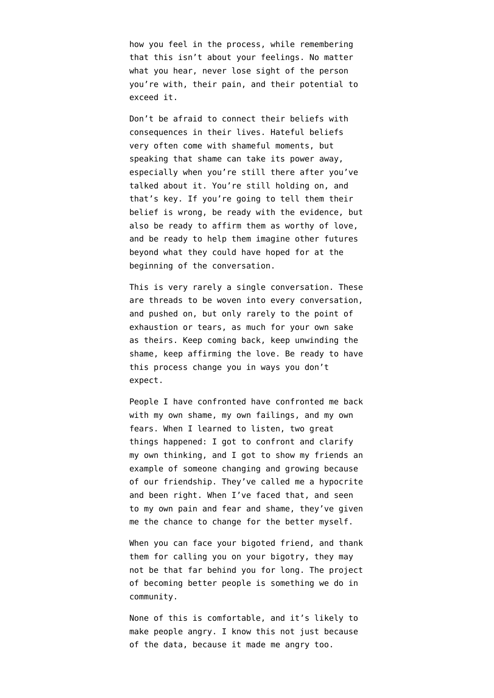how you feel in the process, while remembering that this isn't about your feelings. No matter what you hear, never lose sight of the person you're with, their pain, and their potential to exceed it.

Don't be afraid to connect their beliefs with consequences in their lives. [Hateful beliefs](http://www.cracked.com/personal-experiences-1446-5-things-i-learned-as-neo-nazi.html) [very often come with shameful moments](http://www.cracked.com/personal-experiences-1446-5-things-i-learned-as-neo-nazi.html), but speaking that shame can take its power away, especially when you're still there after you've talked about it. You're still holding on, and that's key. If you're going to tell them their belief is wrong, be ready with the evidence, but also be ready to affirm them as worthy of love, and be ready to help them imagine other futures beyond what they could have hoped for at the beginning of the conversation.

This is very rarely a single conversation. These are threads to be woven into every conversation, and pushed on, but only rarely to the point of exhaustion or tears, as much for your own sake as theirs. Keep coming back, keep unwinding the shame, keep affirming the love. Be ready to have this process change you in ways you don't expect.

People I have confronted have confronted me back with my own shame, my own failings, and my own fears. When I learned to listen, two great things happened: I got to confront and clarify my own thinking, and I got to show my friends an example of someone changing and growing because of our friendship. They've called me a hypocrite and been right. When I've faced that, and seen to my own pain and fear and shame, they've given me the chance to change for the better myself.

When you can face your bigoted friend, and thank them for calling you on your bigotry, they may not be that far behind you for long. The project of becoming better people is something we do in community.

None of this is comfortable, and it's likely to make people angry. I know this not just because of the data, because it made me angry too.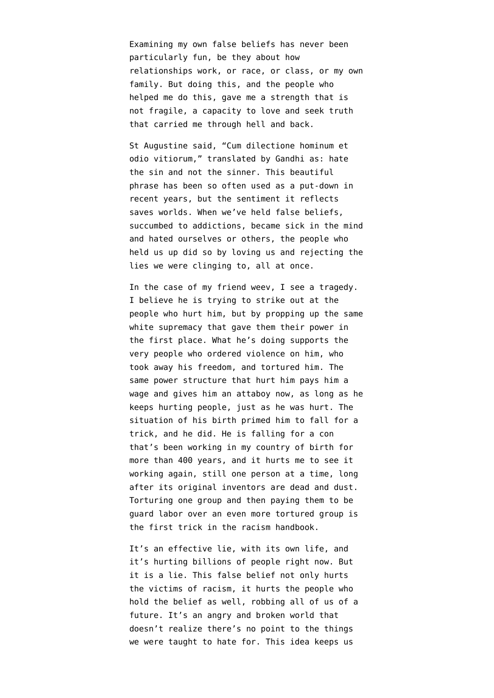Examining my own false beliefs has never been particularly fun, be they about how relationships work, or race, or class, or my own family. But doing this, and the people who helped me do this, gave me a strength that is not fragile, a capacity to love and seek truth that carried me through hell and back.

St Augustine said, "Cum dilectione hominum et odio vitiorum," translated by Gandhi as: hate the sin and not the sinner. This beautiful phrase has been so often used as a put-down in recent years, but the sentiment it reflects saves worlds. When we've held false beliefs, succumbed to addictions, became sick in the mind and hated ourselves or others, the people who held us up did so by loving us and rejecting the lies we were clinging to, all at once.

In the case of my friend weev, I see a tragedy. I believe he is trying to strike out at the people who hurt him, but by propping up the same white supremacy that gave them their power in the first place. What he's doing supports the very people who ordered violence on him, who took away his freedom, and tortured him. The same power structure that hurt him pays him a wage and gives him an attaboy now, as long as he keeps hurting people, just as he was hurt. The situation of his birth primed him to fall for a trick, and he did. [He is falling for a con](https://medium.com/message/how-white-people-got-made-6eeb076ade42) [that's been working in my country of birth for](https://medium.com/message/how-white-people-got-made-6eeb076ade42) [more than 400 years](https://medium.com/message/how-white-people-got-made-6eeb076ade42), and it hurts me to see it working again, still one person at a time, long after its original inventors are dead and dust. Torturing one group and then paying them to be guard labor over an even more tortured group is the first trick in the racism handbook.

It's an effective lie, with its own life, and it's hurting billions of people right now. But it is a lie. This false belief not only hurts the victims of racism, it hurts the people who hold the belief as well, robbing all of us of a future. It's an angry and broken world that doesn't realize there's no point to the things we were taught to hate for. This idea keeps us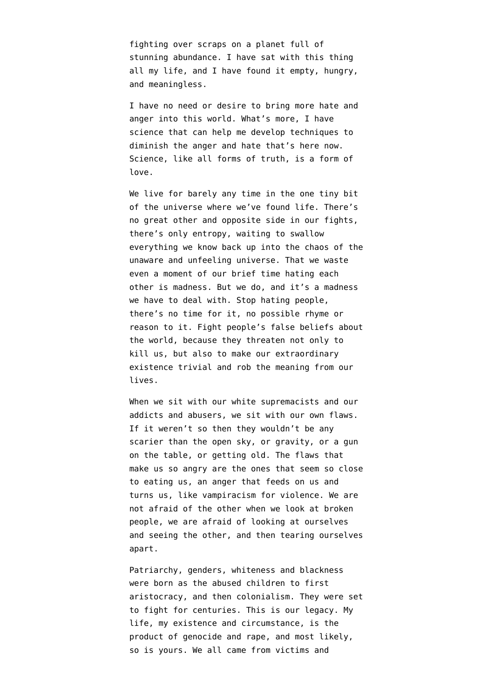fighting over scraps on a planet full of stunning abundance. I have sat with this thing all my life, and I have found it empty, hungry, and meaningless.

I have no need or desire to bring more hate and anger into this world. What's more, I have science that can help me develop techniques to diminish the anger and hate that's here now. Science, like all forms of truth, is a form of love.

We live for barely any time in the one tiny bit of the universe where we've found life. There's no great other and opposite side in our fights, there's only entropy, waiting to swallow everything we know back up into the chaos of the unaware and unfeeling universe. That we waste even a moment of our brief time hating each other is madness. But we do, and it's a madness we have to deal with. Stop hating people, there's no time for it, no possible rhyme or reason to it. Fight people's false beliefs about the world, because they threaten not only to kill us, but also to make our extraordinary existence trivial and rob the meaning from our lives.

When we sit with our white supremacists and our addicts and abusers, we sit with our own flaws. If it weren't so then they wouldn't be any scarier than the open sky, or gravity, or a gun on the table, or getting old. The flaws that make us so angry are the ones that seem so close to eating us, an anger that feeds on us and turns us, like vampiracism for violence. We are not afraid of the other when we look at broken people, we are afraid of looking at ourselves and seeing the other, and then tearing ourselves apart.

Patriarchy, genders, whiteness and blackness were born as the abused children to first aristocracy, and then colonialism. They were set to fight for centuries. This is our legacy. My life, my existence and circumstance, is the product of genocide and rape, and most likely, so is yours. We all came from victims and